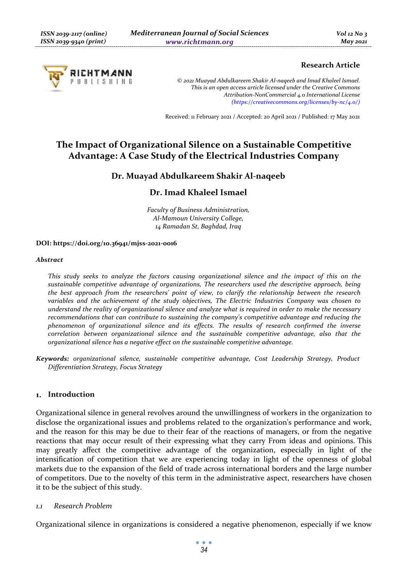

# **Research Article**

*© 2021 Muayad Abdulkareem Shakir Al-naqeeb and Imad Khaleel Ismael. This is an open access article licensed under the Creative Commons Attribution-NonCommercial 4.0 International License (https://creativecommons.org/licenses/by-nc/4.0/)*

Received: 11 February 2021 / Accepted: 20 April 2021 / Published: 17 May 2021

# **The Impact of Organizational Silence on a Sustainable Competitive Advantage: A Case Study of the Electrical Industries Company**

# **Dr. Muayad Abdulkareem Shakir Al-naqeeb**

# **Dr. Imad Khaleel Ismael**

*Faculty of Business Administration, Al-Mamoun University College, 14 Ramadan St, Baghdad, Iraq* 

#### **DOI: https://doi.org/10.36941/mjss-2021-0016**

#### *Abstract*

*This study seeks to analyze the factors causing organizational silence and the impact of this on the sustainable competitive advantage of organizations, The researchers used the descriptive approach, being the best approach from the researchers' point of view, to clarify the relationship between the research variables and the achievement of the study objectives, The Electric Industries Company was chosen to understand the reality of organizational silence and analyze what is required in order to make the necessary recommendations that can contribute to sustaining the company's competitive advantage and reducing the phenomenon of organizational silence and its effects. The results of research confirmed the inverse correlation between organizational silence and the sustainable competitive advantage, also that the organizational silence has a negative effect on the sustainable competitive advantage.* 

*Keywords: organizational silence, sustainable competitive advantage, Cost Leadership Strategy, Product Differentiation Strategy, Focus Strategy* 

#### **Introduction**

Organizational silence in general revolves around the unwillingness of workers in the organization to disclose the organizational issues and problems related to the organization's performance and work, and the reason for this may be due to their fear of the reactions of managers, or from the negative reactions that may occur result of their expressing what they carry From ideas and opinions. This may greatly affect the competitive advantage of the organization, especially in light of the intensification of competition that we are experiencing today in light of the openness of global markets due to the expansion of the field of trade across international borders and the large number of competitors. Due to the novelty of this term in the administrative aspect, researchers have chosen it to be the subject of this study.

#### *1.1 Research Problem*

Organizational silence in organizations is considered a negative phenomenon, especially if we know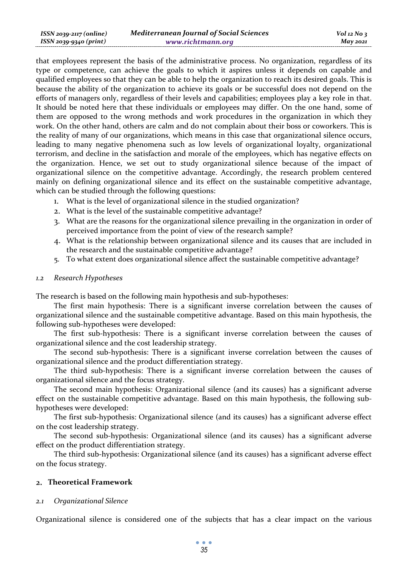| ISSN 2039-2117 (online) | <b>Mediterranean Journal of Social Sciences</b> | $Vol$ 12 No 3 |
|-------------------------|-------------------------------------------------|---------------|
| ISSN 2039-9340 (print)  | www.richtmann.org                               | May 2021      |

that employees represent the basis of the administrative process. No organization, regardless of its type or competence, can achieve the goals to which it aspires unless it depends on capable and qualified employees so that they can be able to help the organization to reach its desired goals. This is because the ability of the organization to achieve its goals or be successful does not depend on the efforts of managers only, regardless of their levels and capabilities; employees play a key role in that. It should be noted here that these individuals or employees may differ. On the one hand, some of them are opposed to the wrong methods and work procedures in the organization in which they work. On the other hand, others are calm and do not complain about their boss or coworkers. This is the reality of many of our organizations, which means in this case that organizational silence occurs, leading to many negative phenomena such as low levels of organizational loyalty, organizational terrorism, and decline in the satisfaction and morale of the employees, which has negative effects on the organization. Hence, we set out to study organizational silence because of the impact of organizational silence on the competitive advantage. Accordingly, the research problem centered mainly on defining organizational silence and its effect on the sustainable competitive advantage, which can be studied through the following questions:

- 1. What is the level of organizational silence in the studied organization?
- 2. What is the level of the sustainable competitive advantage?
- 3. What are the reasons for the organizational silence prevailing in the organization in order of perceived importance from the point of view of the research sample?
- 4. What is the relationship between organizational silence and its causes that are included in the research and the sustainable competitive advantage?
- 5. To what extent does organizational silence affect the sustainable competitive advantage?

#### *1.2 Research Hypotheses*

The research is based on the following main hypothesis and sub-hypotheses:

The first main hypothesis: There is a significant inverse correlation between the causes of organizational silence and the sustainable competitive advantage. Based on this main hypothesis, the following sub-hypotheses were developed:

The first sub-hypothesis: There is a significant inverse correlation between the causes of organizational silence and the cost leadership strategy.

The second sub-hypothesis: There is a significant inverse correlation between the causes of organizational silence and the product differentiation strategy.

The third sub-hypothesis: There is a significant inverse correlation between the causes of organizational silence and the focus strategy.

The second main hypothesis: Organizational silence (and its causes) has a significant adverse effect on the sustainable competitive advantage. Based on this main hypothesis, the following subhypotheses were developed:

The first sub-hypothesis: Organizational silence (and its causes) has a significant adverse effect on the cost leadership strategy.

The second sub-hypothesis: Organizational silence (and its causes) has a significant adverse effect on the product differentiation strategy.

The third sub-hypothesis: Organizational silence (and its causes) has a significant adverse effect on the focus strategy.

# **Theoretical Framework**

#### *2.1 Organizational Silence*

Organizational silence is considered one of the subjects that has a clear impact on the various

 $\bullet$   $\bullet$   $\bullet$ *35*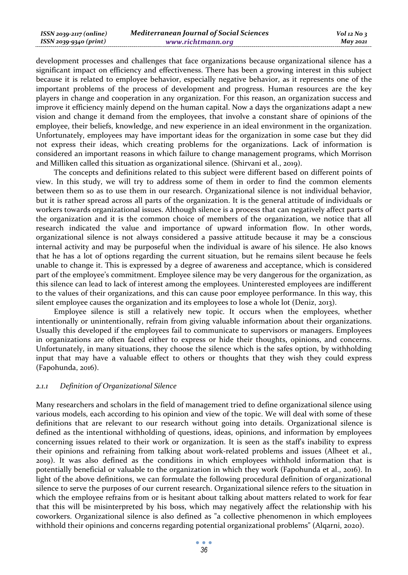| ISSN 2039-2117 (online) | <b>Mediterranean Journal of Social Sciences</b> | $Vol$ 12 No 3 |
|-------------------------|-------------------------------------------------|---------------|
| ISSN 2039-9340 (print)  | www.richtmann.org                               | May 2021      |

development processes and challenges that face organizations because organizational silence has a significant impact on efficiency and effectiveness. There has been a growing interest in this subject because it is related to employee behavior, especially negative behavior, as it represents one of the important problems of the process of development and progress. Human resources are the key players in change and cooperation in any organization. For this reason, an organization success and improve it efficiency mainly depend on the human capital. Now a days the organizations adapt a new vision and change it demand from the employees, that involve a constant share of opinions of the employee, their beliefs, knowledge, and new experience in an ideal environment in the organization. Unfortunately, employees may have important ideas for the organization in some case but they did not express their ideas, which creating problems for the organizations. Lack of information is considered an important reasons in which failure to change management programs, which Morrison and Milliken called this situation as organizational silence. (Shirvani et al., 2019).

The concepts and definitions related to this subject were different based on different points of view. In this study, we will try to address some of them in order to find the common elements between them so as to use them in our research. Organizational silence is not individual behavior, but it is rather spread across all parts of the organization. It is the general attitude of individuals or workers towards organizational issues. Although silence is a process that can negatively affect parts of the organization and it is the common choice of members of the organization, we notice that all research indicated the value and importance of upward information flow. In other words, organizational silence is not always considered a passive attitude because it may be a conscious internal activity and may be purposeful when the individual is aware of his silence. He also knows that he has a lot of options regarding the current situation, but he remains silent because he feels unable to change it. This is expressed by a degree of awareness and acceptance, which is considered part of the employee's commitment. Employee silence may be very dangerous for the organization, as this silence can lead to lack of interest among the employees. Uninterested employees are indifferent to the values of their organizations, and this can cause poor employee performance. In this way, this silent employee causes the organization and its employees to lose a whole lot (Deniz, 2013).

Employee silence is still a relatively new topic. It occurs when the employees, whether intentionally or unintentionally, refrain from giving valuable information about their organizations. Usually this developed if the employees fail to communicate to supervisors or managers. Employees in organizations are often faced either to express or hide their thoughts, opinions, and concerns. Unfortunately, in many situations, they choose the silence which is the safes option, by withholding input that may have a valuable effect to others or thoughts that they wish they could express (Fapohunda, 2016).

### *2.1.1 Definition of Organizational Silence*

Many researchers and scholars in the field of management tried to define organizational silence using various models, each according to his opinion and view of the topic. We will deal with some of these definitions that are relevant to our research without going into details. Organizational silence is defined as the intentional withholding of questions, ideas, opinions, and information by employees concerning issues related to their work or organization. It is seen as the staff's inability to express their opinions and refraining from talking about work-related problems and issues (Alheet et al., 2019). It was also defined as the conditions in which employees withhold information that is potentially beneficial or valuable to the organization in which they work (Fapohunda et al., 2016). In light of the above definitions, we can formulate the following procedural definition of organizational silence to serve the purposes of our current research. Organizational silence refers to the situation in which the employee refrains from or is hesitant about talking about matters related to work for fear that this will be misinterpreted by his boss, which may negatively affect the relationship with his coworkers. Organizational silence is also defined as "a collective phenomenon in which employees withhold their opinions and concerns regarding potential organizational problems" (Alqarni, 2020).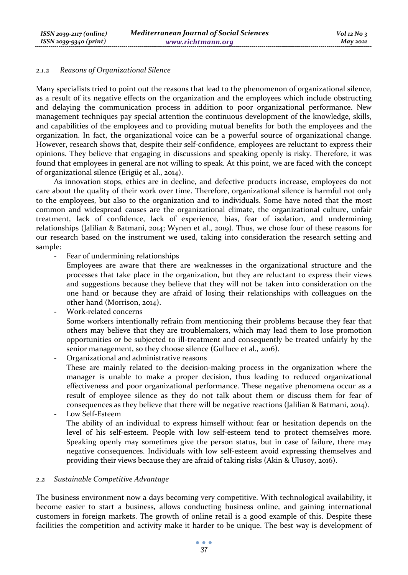#### *2.1.2 Reasons of Organizational Silence*

Many specialists tried to point out the reasons that lead to the phenomenon of organizational silence, as a result of its negative effects on the organization and the employees which include obstructing and delaying the communication process in addition to poor organizational performance. New management techniques pay special attention the continuous development of the knowledge, skills, and capabilities of the employees and to providing mutual benefits for both the employees and the organization. In fact, the organizational voice can be a powerful source of organizational change. However, research shows that, despite their self-confidence, employees are reluctant to express their opinions. They believe that engaging in discussions and speaking openly is risky. Therefore, it was found that employees in general are not willing to speak. At this point, we are faced with the concept of organizational silence (Erigüç et al., 2014).

As innovation stops, ethics are in decline, and defective products increase, employees do not care about the quality of their work over time. Therefore, organizational silence is harmful not only to the employees, but also to the organization and to individuals. Some have noted that the most common and widespread causes are the organizational climate, the organizational culture, unfair treatment, lack of confidence, lack of experience, bias, fear of isolation, and undermining relationships (Jalilian & Batmani, 2014; Wynen et al., 2019). Thus, we chose four of these reasons for our research based on the instrument we used, taking into consideration the research setting and sample:

- Fear of undermining relationships
	- Employees are aware that there are weaknesses in the organizational structure and the processes that take place in the organization, but they are reluctant to express their views and suggestions because they believe that they will not be taken into consideration on the one hand or because they are afraid of losing their relationships with colleagues on the other hand (Morrison, 2014).
- Work-related concerns Some workers intentionally refrain from mentioning their problems because they fear that others may believe that they are troublemakers, which may lead them to lose promotion opportunities or be subjected to ill-treatment and consequently be treated unfairly by the senior management, so they choose silence (Gulluce et al., 2016).
- Organizational and administrative reasons

These are mainly related to the decision-making process in the organization where the manager is unable to make a proper decision, thus leading to reduced organizational effectiveness and poor organizational performance. These negative phenomena occur as a result of employee silence as they do not talk about them or discuss them for fear of consequences as they believe that there will be negative reactions (Jalilian & Batmani, 2014).

Low Self-Esteem The ability of an individual to express himself without fear or hesitation depends on the level of his self-esteem. People with low self-esteem tend to protect themselves more. Speaking openly may sometimes give the person status, but in case of failure, there may negative consequences. Individuals with low self-esteem avoid expressing themselves and providing their views because they are afraid of taking risks (Akin & Ulusoy, 2016).

#### *2.2 Sustainable Competitive Advantage*

The business environment now a days becoming very competitive. With technological availability, it become easier to start a business, allows conducting business online, and gaining international customers in foreign markets. The growth of online retail is a good example of this. Despite these facilities the competition and activity make it harder to be unique. The best way is development of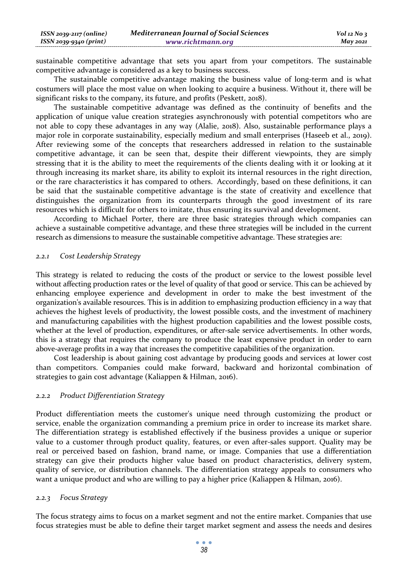sustainable competitive advantage that sets you apart from your competitors. The sustainable competitive advantage is considered as a key to business success.

The sustainable competitive advantage making the business value of long-term and is what costumers will place the most value on when looking to acquire a business. Without it, there will be significant risks to the company, its future, and profits (Peskett, 2018).

The sustainable competitive advantage was defined as the continuity of benefits and the application of unique value creation strategies asynchronously with potential competitors who are not able to copy these advantages in any way (Alalie, 2018). Also, sustainable performance plays a major role in corporate sustainability, especially medium and small enterprises (Haseeb et al., 2019). After reviewing some of the concepts that researchers addressed in relation to the sustainable competitive advantage, it can be seen that, despite their different viewpoints, they are simply stressing that it is the ability to meet the requirements of the clients dealing with it or looking at it through increasing its market share, its ability to exploit its internal resources in the right direction, or the rare characteristics it has compared to others. Accordingly, based on these definitions, it can be said that the sustainable competitive advantage is the state of creativity and excellence that distinguishes the organization from its counterparts through the good investment of its rare resources which is difficult for others to imitate, thus ensuring its survival and development.

According to Michael Porter, there are three basic strategies through which companies can achieve a sustainable competitive advantage, and these three strategies will be included in the current research as dimensions to measure the sustainable competitive advantage. These strategies are:

#### *2.2.1 Cost Leadership Strategy*

This strategy is related to reducing the costs of the product or service to the lowest possible level without affecting production rates or the level of quality of that good or service. This can be achieved by enhancing employee experience and development in order to make the best investment of the organization's available resources. This is in addition to emphasizing production efficiency in a way that achieves the highest levels of productivity, the lowest possible costs, and the investment of machinery and manufacturing capabilities with the highest production capabilities and the lowest possible costs, whether at the level of production, expenditures, or after-sale service advertisements. In other words, this is a strategy that requires the company to produce the least expensive product in order to earn above-average profits in a way that increases the competitive capabilities of the organization.

Cost leadership is about gaining cost advantage by producing goods and services at lower cost than competitors. Companies could make forward, backward and horizontal combination of strategies to gain cost advantage (Kaliappen & Hilman, 2016).

#### *2.2.2 Product Differentiation Strategy*

Product differentiation meets the customer's unique need through customizing the product or service, enable the organization commanding a premium price in order to increase its market share. The differentiation strategy is established effectively if the business provides a unique or superior value to a customer through product quality, features, or even after-sales support. Quality may be real or perceived based on fashion, brand name, or image. Companies that use a differentiation strategy can give their products higher value based on product characteristics, delivery system, quality of service, or distribution channels. The differentiation strategy appeals to consumers who want a unique product and who are willing to pay a higher price (Kaliappen & Hilman, 2016).

#### *2.2.3 Focus Strategy*

The focus strategy aims to focus on a market segment and not the entire market. Companies that use focus strategies must be able to define their target market segment and assess the needs and desires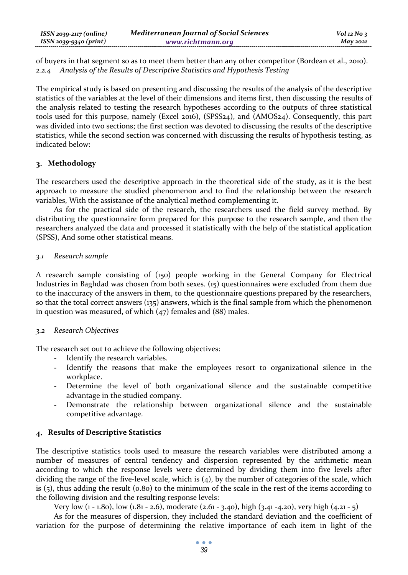of buyers in that segment so as to meet them better than any other competitor (Bordean et al., 2010). *2.2.4 Analysis of the Results of Descriptive Statistics and Hypothesis Testing* 

The empirical study is based on presenting and discussing the results of the analysis of the descriptive statistics of the variables at the level of their dimensions and items first, then discussing the results of the analysis related to testing the research hypotheses according to the outputs of three statistical tools used for this purpose, namely (Excel 2016), (SPSS24), and (AMOS24). Consequently, this part was divided into two sections; the first section was devoted to discussing the results of the descriptive statistics, while the second section was concerned with discussing the results of hypothesis testing, as indicated below:

# **Methodology**

The researchers used the descriptive approach in the theoretical side of the study, as it is the best approach to measure the studied phenomenon and to find the relationship between the research variables, With the assistance of the analytical method complementing it.

As for the practical side of the research, the researchers used the field survey method. By distributing the questionnaire form prepared for this purpose to the research sample, and then the researchers analyzed the data and processed it statistically with the help of the statistical application (SPSS), And some other statistical means.

# *3.1 Research sample*

A research sample consisting of (150) people working in the General Company for Electrical Industries in Baghdad was chosen from both sexes. (15) questionnaires were excluded from them due to the inaccuracy of the answers in them, to the questionnaire questions prepared by the researchers, so that the total correct answers (135) answers, which is the final sample from which the phenomenon in question was measured, of which (47) females and (88) males.

# *3.2 Research Objectives*

The research set out to achieve the following objectives:

- Identify the research variables.
- Identify the reasons that make the employees resort to organizational silence in the workplace.
- Determine the level of both organizational silence and the sustainable competitive advantage in the studied company.
- Demonstrate the relationship between organizational silence and the sustainable competitive advantage.

# **Results of Descriptive Statistics**

The descriptive statistics tools used to measure the research variables were distributed among a number of measures of central tendency and dispersion represented by the arithmetic mean according to which the response levels were determined by dividing them into five levels after dividing the range of the five-level scale, which is (4), by the number of categories of the scale, which is  $(5)$ , thus adding the result  $(0.80)$  to the minimum of the scale in the rest of the items according to the following division and the resulting response levels:

Very low (1 - 1.80), low (1.81 - 2.6), moderate (2.61 - 3.40), high (3.41 -4.20), very high (4.21 - 5)

As for the measures of dispersion, they included the standard deviation and the coefficient of variation for the purpose of determining the relative importance of each item in light of the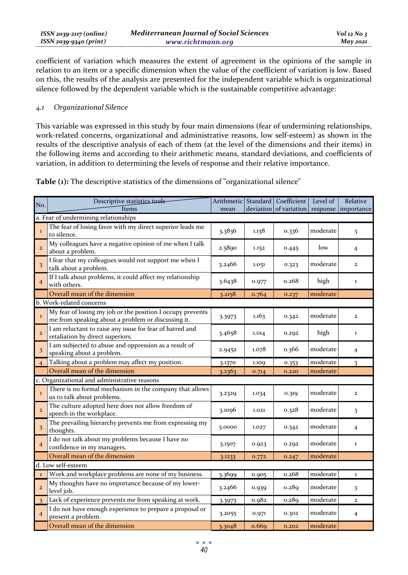| $ISSN 2039-2117 (online)$ | <b>Mediterranean Journal of Social Sciences</b> | $Vol$ 12 No 3 |
|---------------------------|-------------------------------------------------|---------------|
| ISSN 2039-9340 (print)    | www.richtmann.org                               | $M$ ay 2021   |

coefficient of variation which measures the extent of agreement in the opinions of the sample in relation to an item or a specific dimension when the value of the coefficient of variation is low. Based on this, the results of the analysis are presented for the independent variable which is organizational silence followed by the dependent variable which is the sustainable competitive advantage:

### *4.1 Organizational Silence*

This variable was expressed in this study by four main dimensions (fear of undermining relationships, work-related concerns, organizational and administrative reasons, low self-esteem) as shown in the results of the descriptive analysis of each of them (at the level of the dimensions and their items) in the following items and according to their arithmetic means, standard deviations, and coefficients of variation, in addition to determining the levels of response and their relative importance.

**Table (1):** The descriptive statistics of the dimensions of "organizational silence"

| No.                     | Descriptive statistics tools                                                                                     |        |       | Arithmetic   Standard   Coefficient        | Level of | Relative                |  |  |  |
|-------------------------|------------------------------------------------------------------------------------------------------------------|--------|-------|--------------------------------------------|----------|-------------------------|--|--|--|
|                         | Items                                                                                                            | mean   |       | deviation of variation response importance |          |                         |  |  |  |
|                         | a. Fear of undermining relationships                                                                             |        |       |                                            |          |                         |  |  |  |
| $\mathbf 1$             | The fear of losing favor with my direct superior leads me<br>to silence.                                         | 3.3836 | 1.138 | 0.336                                      | moderate | 3                       |  |  |  |
| $\overline{2}$          | My colleagues have a negative opinion of me when I talk<br>about a problem.                                      | 2.5890 | 1.152 | 0.445                                      | low      | $\overline{4}$          |  |  |  |
| $\overline{\mathbf{3}}$ | I fear that my colleagues would not support me when I<br>talk about a problem.                                   | 3.2466 | 1.051 | 0.323                                      | moderate | $\overline{2}$          |  |  |  |
| $\overline{4}$          | If I talk about problems, it could affect my relationship<br>with others.                                        | 3.6438 | 0.977 | 0.268                                      | high     | 1                       |  |  |  |
|                         | Overall mean of the dimension                                                                                    | 3.2158 | 0.764 | 0.237                                      | moderate |                         |  |  |  |
|                         | b. Work-related concerns                                                                                         |        |       |                                            |          |                         |  |  |  |
| $\mathbf{1}$            | My fear of losing my job or the position I occupy prevents<br>me from speaking about a problem or discussing it. | 3.3973 | 1.163 | 0.342                                      | moderate | $\mathbf 2$             |  |  |  |
| $\overline{a}$          | I am reluctant to raise any issue for fear of hatred and<br>retaliation by direct superiors.                     | 3.4658 | 1.014 | 0.292                                      | high     | $\mathbf{1}$            |  |  |  |
| 3                       | I am subjected to abuse and oppression as a result of<br>speaking about a problem.                               | 2.9452 | 1.078 | 0.366                                      | moderate | 4                       |  |  |  |
| $\overline{4}$          | Talking about a problem may affect my position.                                                                  | 3.1370 | 1.109 | 0.353                                      | moderate | 3                       |  |  |  |
|                         | Overall mean of the dimension                                                                                    | 3.2363 | 0.714 | 0.220                                      | moderate |                         |  |  |  |
|                         | c. Organizational and administrative reasons                                                                     |        |       |                                            |          |                         |  |  |  |
| $\mathbf{I}$            | There is no formal mechanism in the company that allows<br>us to talk about problems.                            | 3.2329 | 1.034 | 0.319                                      | moderate | $\overline{\mathbf{c}}$ |  |  |  |
| $\overline{2}$          | The culture adopted here does not allow freedom of<br>speech in the workplace.                                   | 3.1096 | 1.021 | 0.328                                      | moderate | 3                       |  |  |  |
| $\overline{\mathbf{3}}$ | The prevailing hierarchy prevents me from expressing my<br>thoughts.                                             | 3.0000 | 1.027 | 0.342                                      | moderate | $\overline{4}$          |  |  |  |
| $\overline{4}$          | I do not talk about my problems because I have no<br>confidence in my managers.                                  |        | 0.923 | 0.292                                      | moderate | $\mathbf{1}$            |  |  |  |
|                         | Overall mean of the dimension                                                                                    | 3.1233 | 0.772 | 0.247                                      | moderate |                         |  |  |  |
|                         | d. Low self-esteem                                                                                               |        |       |                                            |          |                         |  |  |  |
| $\bf{l}$                | Work and workplace problems are none of my business.                                                             | 3.3699 | 0.905 | 0.268                                      | moderate | $\bf{l}$                |  |  |  |
| $\mathbf{2}$            | My thoughts have no importance because of my lower-<br>level job.                                                |        | 0.939 | 0.289                                      | moderate | 3                       |  |  |  |
| 3                       | Lack of experience prevents me from speaking at work.                                                            | 3.3973 | 0.982 | 0.289                                      | moderate | $\overline{a}$          |  |  |  |
| $\overline{4}$          | I do not have enough experience to prepare a proposal or<br>present a problem.                                   | 3.2055 | 0.971 | 0.302                                      | moderate | 4                       |  |  |  |
|                         | Overall mean of the dimension                                                                                    | 3.3048 | 0.669 | 0.202                                      | moderate |                         |  |  |  |

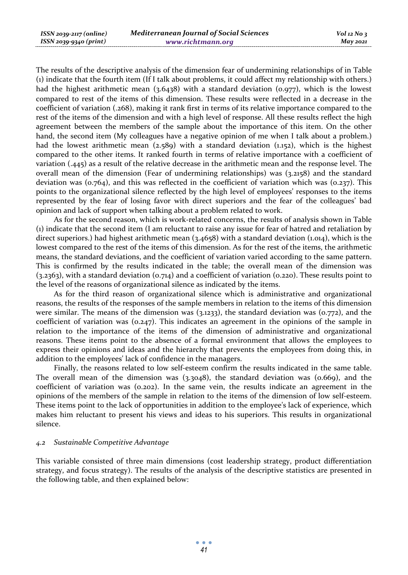The results of the descriptive analysis of the dimension fear of undermining relationships of in Table (1) indicate that the fourth item (If I talk about problems, it could affect my relationship with others.) had the highest arithmetic mean  $(3.6438)$  with a standard deviation  $(0.977)$ , which is the lowest compared to rest of the items of this dimension. These results were reflected in a decrease in the coefficient of variation (.268), making it rank first in terms of its relative importance compared to the rest of the items of the dimension and with a high level of response. All these results reflect the high agreement between the members of the sample about the importance of this item. On the other hand, the second item (My colleagues have a negative opinion of me when I talk about a problem.) had the lowest arithmetic mean (2.589) with a standard deviation (1.152), which is the highest compared to the other items. It ranked fourth in terms of relative importance with a coefficient of variation (.445) as a result of the relative decrease in the arithmetic mean and the response level. The overall mean of the dimension (Fear of undermining relationships) was (3.2158) and the standard deviation was (0.764), and this was reflected in the coefficient of variation which was (0.237). This points to the organizational silence reflected by the high level of employees' responses to the items represented by the fear of losing favor with direct superiors and the fear of the colleagues' bad opinion and lack of support when talking about a problem related to work.

As for the second reason, which is work-related concerns, the results of analysis shown in Table (1) indicate that the second item (I am reluctant to raise any issue for fear of hatred and retaliation by direct superiors.) had highest arithmetic mean (3.4658) with a standard deviation (1.014), which is the lowest compared to the rest of the items of this dimension. As for the rest of the items, the arithmetic means, the standard deviations, and the coefficient of variation varied according to the same pattern. This is confirmed by the results indicated in the table; the overall mean of the dimension was (3.2363), with a standard deviation (0.714) and a coefficient of variation (0.220). These results point to the level of the reasons of organizational silence as indicated by the items.

As for the third reason of organizational silence which is administrative and organizational reasons, the results of the responses of the sample members in relation to the items of this dimension were similar. The means of the dimension was (3.1233), the standard deviation was (0.772), and the coefficient of variation was (0.247). This indicates an agreement in the opinions of the sample in relation to the importance of the items of the dimension of administrative and organizational reasons. These items point to the absence of a formal environment that allows the employees to express their opinions and ideas and the hierarchy that prevents the employees from doing this, in addition to the employees' lack of confidence in the managers.

Finally, the reasons related to low self-esteem confirm the results indicated in the same table. The overall mean of the dimension was  $(3.3048)$ , the standard deviation was  $(0.669)$ , and the coefficient of variation was (0.202). In the same vein, the results indicate an agreement in the opinions of the members of the sample in relation to the items of the dimension of low self-esteem. These items point to the lack of opportunities in addition to the employee's lack of experience, which makes him reluctant to present his views and ideas to his superiors. This results in organizational silence.

#### *4.2 Sustainable Competitive Advantage*

This variable consisted of three main dimensions (cost leadership strategy, product differentiation strategy, and focus strategy). The results of the analysis of the descriptive statistics are presented in the following table, and then explained below: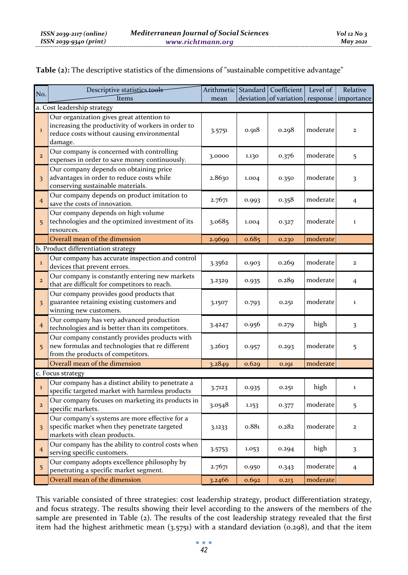**Table (2):** The descriptive statistics of the dimensions of "sustainable competitive advantage"

| No.                     | Descriptive statistics tools                                                                                                                             |        |       | Arithmetic Standard Coefficient | Level of | Relative       |  |  |
|-------------------------|----------------------------------------------------------------------------------------------------------------------------------------------------------|--------|-------|---------------------------------|----------|----------------|--|--|
|                         | Items<br>deviation of variation response importance<br>mean                                                                                              |        |       |                                 |          |                |  |  |
|                         | a. Cost leadership strategy                                                                                                                              |        |       |                                 |          |                |  |  |
| $\mathbf{1}$            | Our organization gives great attention to<br>increasing the productivity of workers in order to<br>reduce costs without causing environmental<br>damage. | 3.5751 | 0.918 | 0.298                           | moderate | $\mathbf{z}$   |  |  |
| $\overline{\mathbf{2}}$ | Our company is concerned with controlling<br>expenses in order to save money continuously.                                                               | 3.0000 | 1.130 | 0.376                           | moderate | 5              |  |  |
| 3                       | Our company depends on obtaining price<br>advantages in order to reduce costs while<br>conserving sustainable materials.                                 | 2.8630 | 1.004 | 0.350                           | moderate | 3              |  |  |
| $\overline{4}$          | Our company depends on product imitation to<br>save the costs of innovation.                                                                             | 2.7671 | 0.993 | 0.358                           | moderate | $\overline{4}$ |  |  |
| 5                       | Our company depends on high volume<br>technologies and the optimized investment of its<br>resources.                                                     | 3.0685 | 1.004 | 0.327                           | moderate | $\mathbf 1$    |  |  |
|                         | Overall mean of the dimension                                                                                                                            | 2.9699 | 0.685 | 0.230                           | moderate |                |  |  |
|                         | b. Product differentiation strategy                                                                                                                      |        |       |                                 |          |                |  |  |
| $\mathbf 1$             | Our company has accurate inspection and control<br>devices that prevent errors.                                                                          | 3.3562 | 0.903 | 0.269                           | moderate | $\mathbf{z}$   |  |  |
| $\overline{2}$          | Our company is constantly entering new markets<br>that are difficult for competitors to reach.                                                           | 3.2329 | 0.935 | 0.289                           | moderate | $\overline{4}$ |  |  |
| $\overline{\mathbf{3}}$ | Our company provides good products that<br>guarantee retaining existing customers and<br>winning new customers.                                          | 3.1507 | 0.793 | 0.251                           | moderate | $\mathbf 1$    |  |  |
| $\overline{4}$          | Our company has very advanced production<br>technologies and is better than its competitors.                                                             | 3.4247 | 0.956 | 0.279                           | high     | 3              |  |  |
| 5                       | Our company constantly provides products with<br>new formulas and technologies that re different<br>from the products of competitors.                    | 3.2603 | 0.957 | 0.293                           | moderate | 5              |  |  |
|                         | Overall mean of the dimension                                                                                                                            | 3.2849 | 0.629 | 0.191                           | moderate |                |  |  |
|                         | c. Focus strategy                                                                                                                                        |        |       |                                 |          |                |  |  |
| $\mathbf{1}$            | Our company has a distinct ability to penetrate a<br>specific targeted market with harmless products                                                     | 3.7123 | 0.935 | 0.251                           | high     | $\mathbf 1$    |  |  |
| $\overline{2}$          | Our company focuses on marketing its products in<br>specific markets.                                                                                    | 3.0548 | 1.153 | 0.377                           | moderate | 5              |  |  |
| 3                       | Our company's systems are more effective for a<br>specific market when they penetrate targeted<br>markets with clean products.                           | 3.1233 | 0.881 | 0.282                           | moderate | $\mathbf{z}$   |  |  |
| $\overline{4}$          | Our company has the ability to control costs when<br>serving specific customers.                                                                         | 3.5753 | 1.053 | 0.294                           | high     | 3              |  |  |
| 5                       | Our company adopts excellence philosophy by<br>penetrating a specific market segment.                                                                    | 2.7671 | 0.950 | 0.343                           | moderate | $\overline{4}$ |  |  |
|                         | Overall mean of the dimension                                                                                                                            | 3.2466 | 0.692 | 0.213                           | moderate |                |  |  |

This variable consisted of three strategies: cost leadership strategy, product differentiation strategy, and focus strategy. The results showing their level according to the answers of the members of the sample are presented in Table (2). The results of the cost leadership strategy revealed that the first item had the highest arithmetic mean (3.5751) with a standard deviation (0.298), and that the item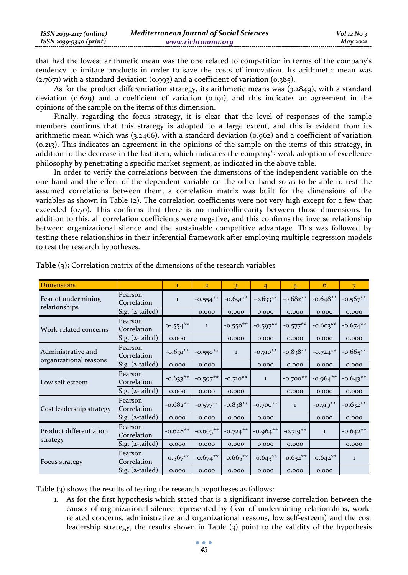| $ISSN 2039-2117 (online)$ | <b>Mediterranean Journal of Social Sciences</b> | $Vol$ 12 No 3 |
|---------------------------|-------------------------------------------------|---------------|
| ISSN 2039-9340 (print)    | www.richtmann.org                               | $M$ ay 2021   |

that had the lowest arithmetic mean was the one related to competition in terms of the company's tendency to imitate products in order to save the costs of innovation. Its arithmetic mean was  $(2.7671)$  with a standard deviation  $(0.993)$  and a coefficient of variation  $(0.385)$ .

As for the product differentiation strategy, its arithmetic means was (3.2849), with a standard deviation (0.629) and a coefficient of variation (0.191), and this indicates an agreement in the opinions of the sample on the items of this dimension.

Finally, regarding the focus strategy, it is clear that the level of responses of the sample members confirms that this strategy is adopted to a large extent, and this is evident from its arithmetic mean which was  $(3.2466)$ , with a standard deviation  $(0.962)$  and a coefficient of variation (0.213). This indicates an agreement in the opinions of the sample on the items of this strategy, in addition to the decrease in the last item, which indicates the company's weak adoption of excellence philosophy by penetrating a specific market segment, as indicated in the above table.

In order to verify the correlations between the dimensions of the independent variable on the one hand and the effect of the dependent variable on the other hand so as to be able to test the assumed correlations between them, a correlation matrix was built for the dimensions of the variables as shown in Table (2). The correlation coefficients were not very high except for a few that exceeded (0.70). This confirms that there is no multicollinearity between those dimensions. In addition to this, all correlation coefficients were negative, and this confirms the inverse relationship between organizational silence and the sustainable competitive advantage. This was followed by testing these relationships in their inferential framework after employing multiple regression models to test the research hypotheses.

| <b>Dimensions</b>                            |                        | $\mathbf{1}$ | $\overline{2}$ | 3            | $\overline{4}$ | 5.           | 6            | 7            |
|----------------------------------------------|------------------------|--------------|----------------|--------------|----------------|--------------|--------------|--------------|
| Fear of undermining<br>relationships         | Pearson<br>Correlation | $\mathbf{1}$ | $-0.554**$     | $-0.691**$   | $-0.633**$     | $-0.682**$   | $-0.648**$   | $-0.567**$   |
|                                              | Sig. (2-tailed)        |              | 0.000          | 0.000        | 0.000          | 0.000        | 0.000        | 0.000        |
| Work-related concerns                        | Pearson<br>Correlation | $0-.554**$   | $\mathbf{1}$   | $-0.550**$   | $-0.597**$     | $-0.577$ **  | $-0.603**$   | $-0.674***$  |
|                                              | Sig. (2-tailed)        | 0.000        |                | 0.000        | 0.000          | 0.000        | 0.000        | 0.000        |
| Administrative and<br>organizational reasons | Pearson<br>Correlation | $-0.691**$   | $-0.550**$     | $\mathbf{1}$ | $-0.710**$     | $-0.838**$   | $-0.724***$  | $-0.665**$   |
|                                              | Sig. (2-tailed)        | 0.000        | 0.000          |              | 0.000          | 0.000        | 0.000        | 0.000        |
| Low self-esteem                              | Pearson<br>Correlation | $-0.633**$   | $-0.597**$     | $-0.710**$   | $\mathbf{1}$   | $-0.700**$   | $-0.964**$   | $-0.643**$   |
|                                              | $Sig. (z-tailed)$      | 0.000        | 0.000          | 0.000        |                | 0.000        | 0.000        | 0.000        |
| Cost leadership strategy                     | Pearson<br>Correlation | $-0.682**$   | $-0.577$ **    | $-0.838**$   | $-0.700**$     | $\mathbf{1}$ | $-0.719**$   | $-0.632**$   |
|                                              | Sig. (2-tailed)        | 0.000        | 0.000          | 0.000        | 0.000          |              | 0.000        | 0.000        |
| Product differentiation                      | Pearson<br>Correlation | $-0.648**$   | $-0.603**$     | $-0.724**$   | $-0.964**$     | $-0.719**$   | $\mathbf{1}$ | $-0.642**$   |
| strategy                                     | Sig. (2-tailed)        | 0.000        | 0.000          | 0.000        | 0.000          | 0.000        |              | 0.000        |
| Focus strategy                               | Pearson<br>Correlation | $-0.567**$   | $-0.674**$     | $-0.665**$   | $-0.643**$     | $-0.632**$   | $-0.642**$   | $\mathbf{1}$ |
|                                              | Sig. (2-tailed)        | 0.000        | 0.000          | 0.000        | 0.000          | 0.000        | 0.000        |              |

**Table (3):** Correlation matrix of the dimensions of the research variables

Table (3) shows the results of testing the research hypotheses as follows:

1. As for the first hypothesis which stated that is a significant inverse correlation between the causes of organizational silence represented by (fear of undermining relationships, workrelated concerns, administrative and organizational reasons, low self-esteem) and the cost leadership strategy, the results shown in Table (3) point to the validity of the hypothesis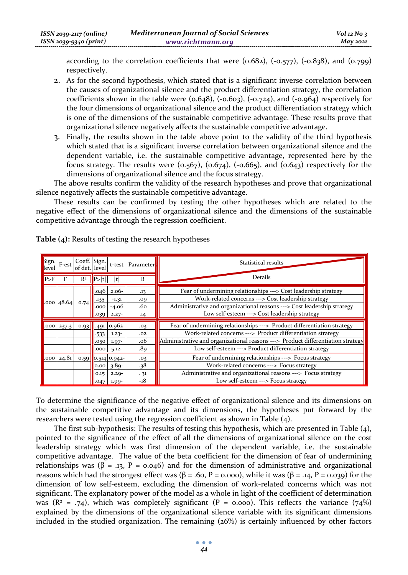according to the correlation coefficients that were  $(0.682)$ ,  $(-0.577)$ ,  $(-0.838)$ , and  $(0.799)$ respectively.

- 2. As for the second hypothesis, which stated that is a significant inverse correlation between the causes of organizational silence and the product differentiation strategy, the correlation coefficients shown in the table were  $(0.648)$ ,  $(-0.603)$ ,  $(-0.724)$ , and  $(-0.964)$  respectively for the four dimensions of organizational silence and the product differentiation strategy which is one of the dimensions of the sustainable competitive advantage. These results prove that organizational silence negatively affects the sustainable competitive advantage.
- 3. Finally, the results shown in the table above point to the validity of the third hypothesis which stated that is a significant inverse correlation between organizational silence and the dependent variable, i.e. the sustainable competitive advantage, represented here by the focus strategy. The results were  $(0.567)$ ,  $(0.674)$ ,  $(-0.665)$ , and  $(0.643)$  respectively for the dimensions of organizational silence and the focus strategy.

The above results confirm the validity of the research hypotheses and prove that organizational silence negatively affects the sustainable competitive advantage.

These results can be confirmed by testing the other hypotheses which are related to the negative effect of the dimensions of organizational silence and the dimensions of the sustainable competitive advantage through the regression coefficient.

| Sign.<br>level  | F-est | Coeff. Sign.<br>of det. level |                              |                                         | t-test Parameters        | Statistical results                                                                                                                                                                                                                                |
|-----------------|-------|-------------------------------|------------------------------|-----------------------------------------|--------------------------|----------------------------------------------------------------------------------------------------------------------------------------------------------------------------------------------------------------------------------------------------|
| P>F             | F     | R <sup>2</sup>                |                              | t                                       | B                        | Details                                                                                                                                                                                                                                            |
| $.000 \, 48.64$ |       | 0.74                          | .046<br>.135<br>.000<br>.039 | $2.06-$<br>$-1.31$<br>-4.06<br>$2.27 -$ | .13<br>.09<br>.60<br>.14 | Fear of undermining relationships ---> Cost leadership strategy<br>Work-related concerns ---> Cost leadership strategy<br>Administrative and organizational reasons ---> Cost leadership strategy<br>Low self-esteem ---> Cost leadership strategy |
| $.000$ 237.3    |       | 0.93                          | .491<br>$-533$               | $0.962 -$<br>$1.23 -$                   | .03<br>.02               | Fear of undermining relationships ---> Product differentiation strategy<br>Work-related concerns ---> Product differentiation strategy                                                                                                             |
|                 |       |                               | .050<br>.000                 | $1.97-$<br>$5.12 -$                     | .06<br>.89               | Administrative and organizational reasons ---> Product differentiation strategy<br>Low self-esteem ---> Product differentiation strategy                                                                                                           |
| $.000 \, 24.81$ |       |                               | 0.00                         | $0.59$ 0.514 0.942-<br>$3.89 -$         | .03<br>.38               | Fear of undermining relationships ---> Focus strategy<br>Work-related concerns ---> Focus strategy                                                                                                                                                 |
|                 |       |                               | 0.15<br>.047                 | $2.29 -$<br>$1.99 -$                    | .31<br>-18               | Administrative and organizational reasons ---> Focus strategy<br>Low self-esteem ---> Focus strategy                                                                                                                                               |

**Table (4):** Results of testing the research hypotheses

To determine the significance of the negative effect of organizational silence and its dimensions on the sustainable competitive advantage and its dimensions, the hypotheses put forward by the researchers were tested using the regression coefficient as shown in Table (4).

The first sub-hypothesis: The results of testing this hypothesis, which are presented in Table (4), pointed to the significance of the effect of all the dimensions of organizational silence on the cost leadership strategy which was first dimension of the dependent variable, i.e. the sustainable competitive advantage. The value of the beta coefficient for the dimension of fear of undermining relationships was ( $\beta$  = .13, P = 0.046) and for the dimension of administrative and organizational reasons which had the strongest effect was  $(β = .60, P = 0.000)$ , while it was  $(β = .14, P = 0.039)$  for the dimension of low self-esteem, excluding the dimension of work-related concerns which was not significant. The explanatory power of the model as a whole in light of the coefficient of determination was  $(R^2 = .74)$ , which was completely significant  $(P = 0.000)$ . This reflects the variance  $(74%)$ explained by the dimensions of the organizational silence variable with its significant dimensions included in the studied organization. The remaining  $(26%)$  is certainly influenced by other factors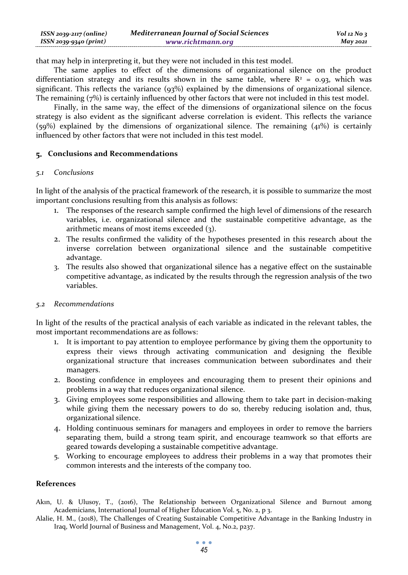that may help in interpreting it, but they were not included in this test model.

The same applies to effect of the dimensions of organizational silence on the product differentiation strategy and its results shown in the same table, where  $R^2 = 0.93$ , which was significant. This reflects the variance (93%) explained by the dimensions of organizational silence. The remaining (7%) is certainly influenced by other factors that were not included in this test model.

Finally, in the same way, the effect of the dimensions of organizational silence on the focus strategy is also evident as the significant adverse correlation is evident. This reflects the variance  $(59%)$  explained by the dimensions of organizational silence. The remaining  $(41%)$  is certainly influenced by other factors that were not included in this test model.

## **Conclusions and Recommendations**

## *5.1 Conclusions*

In light of the analysis of the practical framework of the research, it is possible to summarize the most important conclusions resulting from this analysis as follows:

- 1. The responses of the research sample confirmed the high level of dimensions of the research variables, i.e. organizational silence and the sustainable competitive advantage, as the arithmetic means of most items exceeded (3).
- 2. The results confirmed the validity of the hypotheses presented in this research about the inverse correlation between organizational silence and the sustainable competitive advantage.
- 3. The results also showed that organizational silence has a negative effect on the sustainable competitive advantage, as indicated by the results through the regression analysis of the two variables.

# *5.2 Recommendations*

In light of the results of the practical analysis of each variable as indicated in the relevant tables, the most important recommendations are as follows:

- 1. It is important to pay attention to employee performance by giving them the opportunity to express their views through activating communication and designing the flexible organizational structure that increases communication between subordinates and their managers.
- 2. Boosting confidence in employees and encouraging them to present their opinions and problems in a way that reduces organizational silence.
- 3. Giving employees some responsibilities and allowing them to take part in decision-making while giving them the necessary powers to do so, thereby reducing isolation and, thus, organizational silence.
- 4. Holding continuous seminars for managers and employees in order to remove the barriers separating them, build a strong team spirit, and encourage teamwork so that efforts are geared towards developing a sustainable competitive advantage.
- 5. Working to encourage employees to address their problems in a way that promotes their common interests and the interests of the company too.

#### **References**

- Akın, U. & Ulusoy, T., (2016), The Relationship between Organizational Silence and Burnout among Academicians, International Journal of Higher Education Vol. 5, No. 2, p 3.
- Alalie, H. M., (2018), The Challenges of Creating Sustainable Competitive Advantage in the Banking Industry in Iraq, World Journal of Business and Management, Vol. 4, No.2, p237.